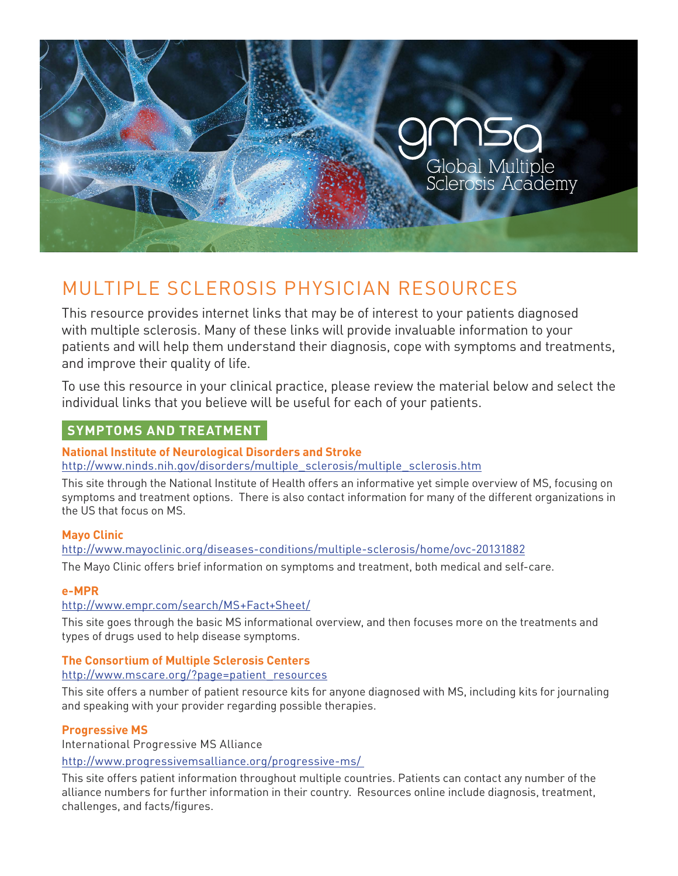

# MULTIPLE SCLEROSIS PHYSICIAN RESOURCES

This resource provides internet links that may be of interest to your patients diagnosed with multiple sclerosis. Many of these links will provide invaluable information to your patients and will help them understand their diagnosis, cope with symptoms and treatments, and improve their quality of life.

To use this resource in your clinical practice, please review the material below and select the individual links that you believe will be useful for each of your patients.

# **SYMPTOMS AND TREATMENT**

## **National Institute of Neurological Disorders and Stroke**

http://www.ninds.nih.gov/disorders/multiple\_sclerosis/multiple\_sclerosis.htm

This site through the National Institute of Health offers an informative yet simple overview of MS, focusing on symptoms and treatment options. There is also contact information for many of the different organizations in the US that focus on MS.

## **Mayo Clinic**

http://www.mayoclinic.org/diseases-conditions/multiple-sclerosis/home/ovc-20131882

The Mayo Clinic offers brief information on symptoms and treatment, both medical and self-care.

## **e-MPR**

## http://www.empr.com/search/MS+Fact+Sheet/

This site goes through the basic MS informational overview, and then focuses more on the treatments and types of drugs used to help disease symptoms.

## **The Consortium of Multiple Sclerosis Centers**

#### http://www.mscare.org/?page=patient\_resources

This site offers a number of patient resource kits for anyone diagnosed with MS, including kits for journaling and speaking with your provider regarding possible therapies.

## **Progressive MS**

International Progressive MS Alliance

#### http://www.progressivemsalliance.org/progressive-ms/

This site offers patient information throughout multiple countries. Patients can contact any number of the alliance numbers for further information in their country. Resources online include diagnosis, treatment, challenges, and facts/figures.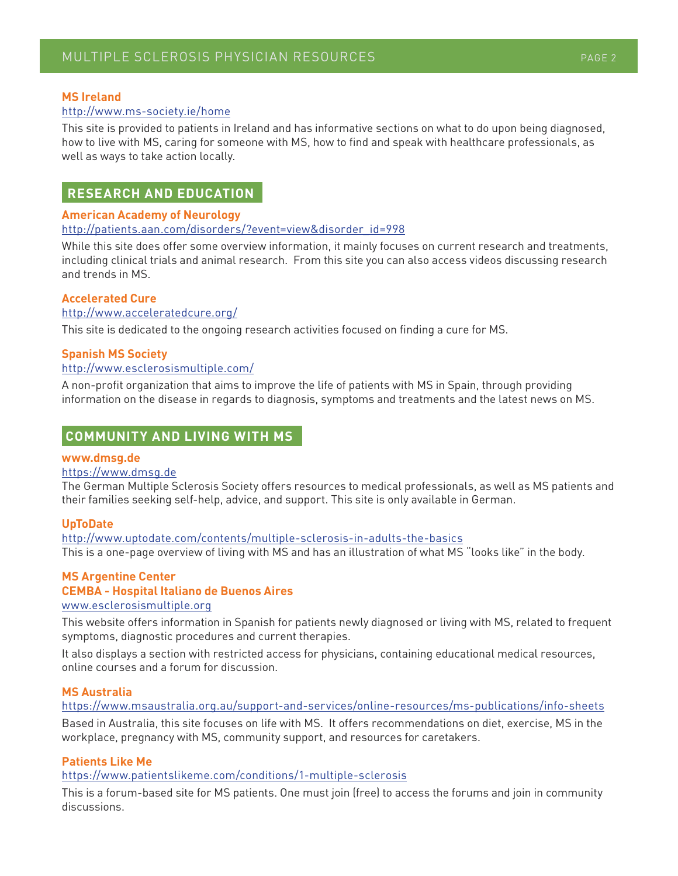## **MS Ireland**

#### http://www.ms-society.ie/home

This site is provided to patients in Ireland and has informative sections on what to do upon being diagnosed, how to live with MS, caring for someone with MS, how to find and speak with healthcare professionals, as well as ways to take action locally.

# **RESEARCH AND EDUCATION**

#### **American Academy of Neurology** http://patients.aan.com/disorders/?event=view&disorder\_id=998

While this site does offer some overview information, it mainly focuses on current research and treatments, including clinical trials and animal research. From this site you can also access videos discussing research and trends in MS.

## **Accelerated Cure**

#### http://www.acceleratedcure.org/

This site is dedicated to the ongoing research activities focused on finding a cure for MS.

## **Spanish MS Society**

#### http://www.esclerosismultiple.com/

A non-profit organization that aims to improve the life of patients with MS in Spain, through providing information on the disease in regards to diagnosis, symptoms and treatments and the latest news on MS.

# **COMMUNITY AND LIVING WITH MS**

#### **www.dmsg.de**

#### https://www.dmsg.de

The German Multiple Sclerosis Society offers resources to medical professionals, as well as MS patients and their families seeking self-help, advice, and support. This site is only available in German.

#### **UpToDate**

http://www.uptodate.com/contents/multiple-sclerosis-in-adults-the-basics This is a one-page overview of living with MS and has an illustration of what MS "looks like" in the body.

#### **MS Argentine Center**

#### **CEMBA - Hospital Italiano de Buenos Aires**

#### www.esclerosismultiple.org

This website offers information in Spanish for patients newly diagnosed or living with MS, related to frequent symptoms, diagnostic procedures and current therapies.

It also displays a section with restricted access for physicians, containing educational medical resources, online courses and a forum for discussion.

#### **MS Australia**

#### https://www.msaustralia.org.au/support-and-services/online-resources/ms-publications/info-sheets

Based in Australia, this site focuses on life with MS. It offers recommendations on diet, exercise, MS in the workplace, pregnancy with MS, community support, and resources for caretakers.

## **Patients Like Me**

#### https://www.patientslikeme.com/conditions/1-multiple-sclerosis

This is a forum-based site for MS patients. One must join (free) to access the forums and join in community discussions.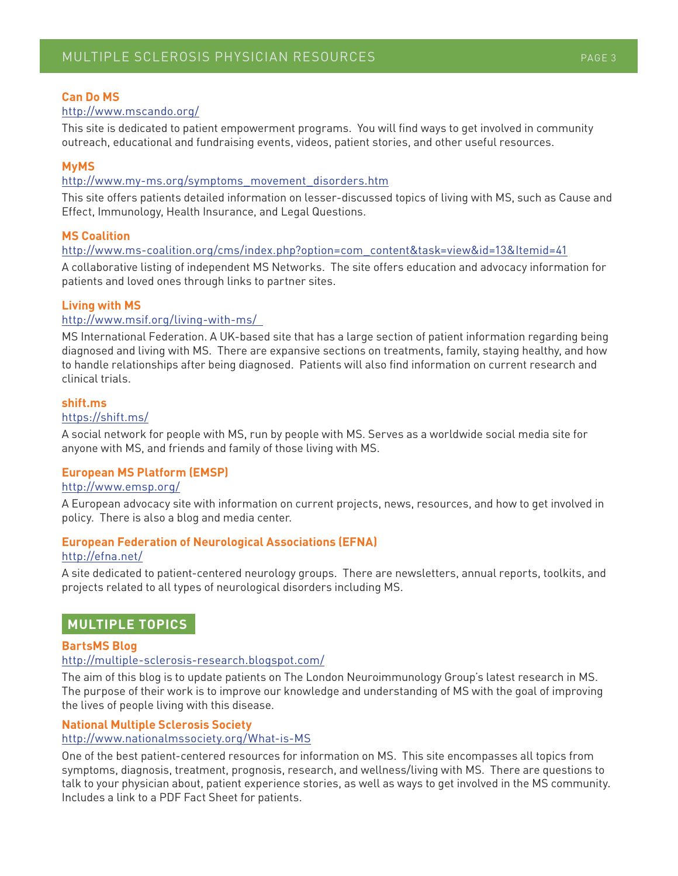## **Can Do MS**

#### http://www.mscando.org/

This site is dedicated to patient empowerment programs. You will find ways to get involved in community outreach, educational and fundraising events, videos, patient stories, and other useful resources.

## **MyMS**

#### http://www.my-ms.org/symptoms\_movement\_disorders.htm

This site offers patients detailed information on lesser-discussed topics of living with MS, such as Cause and Effect, Immunology, Health Insurance, and Legal Questions.

## **MS Coalition**

http://www.ms-coalition.org/cms/index.php?option=com\_content&task=view&id=13&Itemid=41

A collaborative listing of independent MS Networks. The site offers education and advocacy information for patients and loved ones through links to partner sites.

## **Living with MS**

## http://www.msif.org/living-with-ms/

MS International Federation. A UK-based site that has a large section of patient information regarding being diagnosed and living with MS. There are expansive sections on treatments, family, staying healthy, and how to handle relationships after being diagnosed. Patients will also find information on current research and clinical trials.

#### **shift.ms**

#### https://shift.ms/

A social network for people with MS, run by people with MS. Serves as a worldwide social media site for anyone with MS, and friends and family of those living with MS.

#### **European MS Platform (EMSP)**

#### http://www.emsp.org/

A European advocacy site with information on current projects, news, resources, and how to get involved in policy. There is also a blog and media center.

## **European Federation of Neurological Associations (EFNA)**

#### http://efna.net/

A site dedicated to patient-centered neurology groups. There are newsletters, annual reports, toolkits, and projects related to all types of neurological disorders including MS.

## **MULTIPLE TOPICS**

#### **BartsMS Blog**

#### http://multiple-sclerosis-research.blogspot.com/

The aim of this blog is to update patients on The London Neuroimmunology Group's latest research in MS. The purpose of their work is to improve our knowledge and understanding of MS with the goal of improving the lives of people living with this disease.

#### **National Multiple Sclerosis Society**

#### http://www.nationalmssociety.org/What-is-MS

One of the best patient-centered resources for information on MS. This site encompasses all topics from symptoms, diagnosis, treatment, prognosis, research, and wellness/living with MS. There are questions to talk to your physician about, patient experience stories, as well as ways to get involved in the MS community. Includes a link to a PDF Fact Sheet for patients.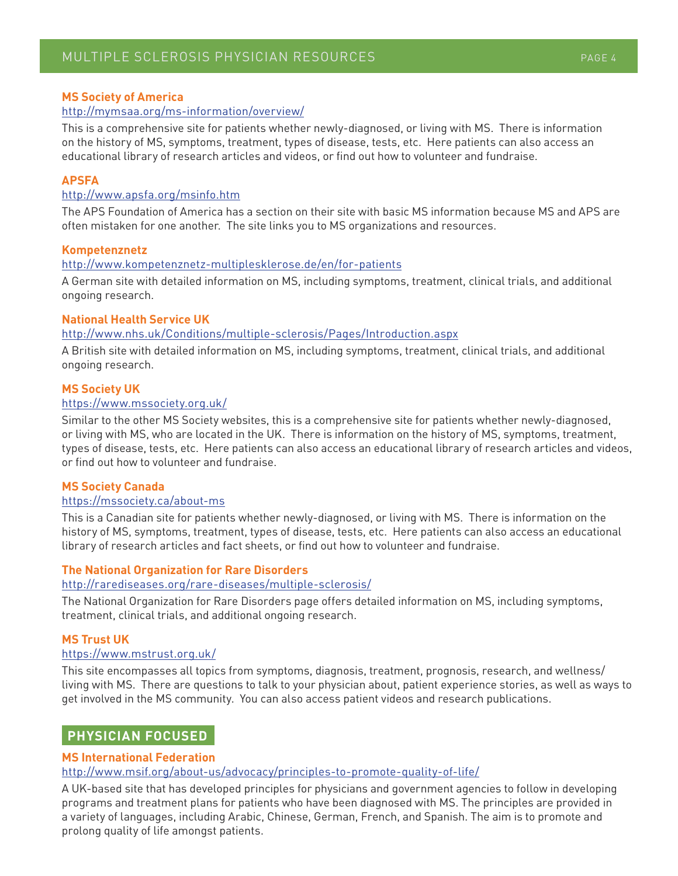## **MS Society of America**

#### http://mymsaa.org/ms-information/overview/

This is a comprehensive site for patients whether newly-diagnosed, or living with MS. There is information on the history of MS, symptoms, treatment, types of disease, tests, etc. Here patients can also access an educational library of research articles and videos, or find out how to volunteer and fundraise.

#### **APSFA**

#### http://www.apsfa.org/msinfo.htm

The APS Foundation of America has a section on their site with basic MS information because MS and APS are often mistaken for one another. The site links you to MS organizations and resources.

#### **Kompetenznetz**

#### http://www.kompetenznetz-multiplesklerose.de/en/for-patients

A German site with detailed information on MS, including symptoms, treatment, clinical trials, and additional ongoing research.

#### **National Health Service UK**

#### http://www.nhs.uk/Conditions/multiple-sclerosis/Pages/Introduction.aspx

A British site with detailed information on MS, including symptoms, treatment, clinical trials, and additional ongoing research.

#### **MS Society UK**

#### https://www.mssociety.org.uk/

Similar to the other MS Society websites, this is a comprehensive site for patients whether newly-diagnosed, or living with MS, who are located in the UK. There is information on the history of MS, symptoms, treatment, types of disease, tests, etc. Here patients can also access an educational library of research articles and videos, or find out how to volunteer and fundraise.

#### **MS Society Canada**

#### https://mssociety.ca/about-ms

This is a Canadian site for patients whether newly-diagnosed, or living with MS. There is information on the history of MS, symptoms, treatment, types of disease, tests, etc. Here patients can also access an educational library of research articles and fact sheets, or find out how to volunteer and fundraise.

#### **The National Organization for Rare Disorders**

#### http://rarediseases.org/rare-diseases/multiple-sclerosis/

The National Organization for Rare Disorders page offers detailed information on MS, including symptoms, treatment, clinical trials, and additional ongoing research.

#### **MS Trust UK**

#### https://www.mstrust.org.uk/

This site encompasses all topics from symptoms, diagnosis, treatment, prognosis, research, and wellness/ living with MS. There are questions to talk to your physician about, patient experience stories, as well as ways to get involved in the MS community. You can also access patient videos and research publications.

# **PHYSICIAN FOCUSED**

#### **MS International Federation**

#### http://www.msif.org/about-us/advocacy/principles-to-promote-quality-of-life/

A UK-based site that has developed principles for physicians and government agencies to follow in developing programs and treatment plans for patients who have been diagnosed with MS. The principles are provided in a variety of languages, including Arabic, Chinese, German, French, and Spanish. The aim is to promote and prolong quality of life amongst patients.